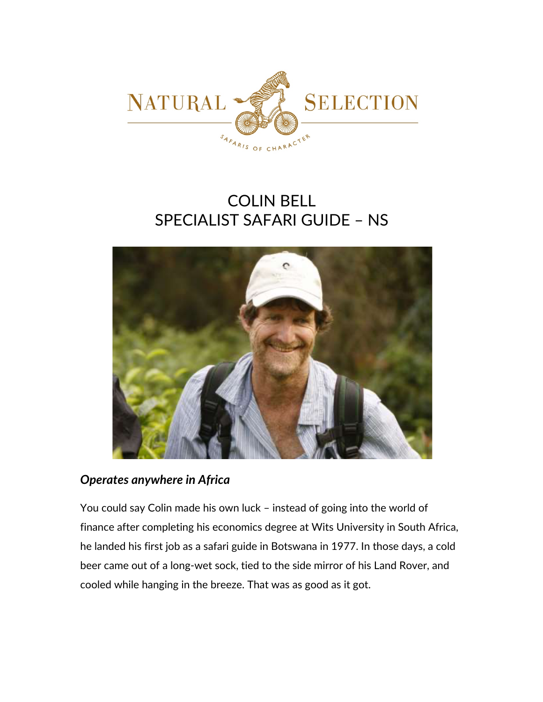

# COLIN BELL SPECIALIST SAFARI GUIDE – NS



# *Operates anywhere in Africa*

You could say Colin made his own luck – instead of going into the world of finance after completing his economics degree at Wits University in South Africa, he landed his first job as a safari guide in Botswana in 1977. In those days, a cold beer came out of a long-wet sock, tied to the side mirror of his Land Rover, and cooled while hanging in the breeze. That was as good as it got.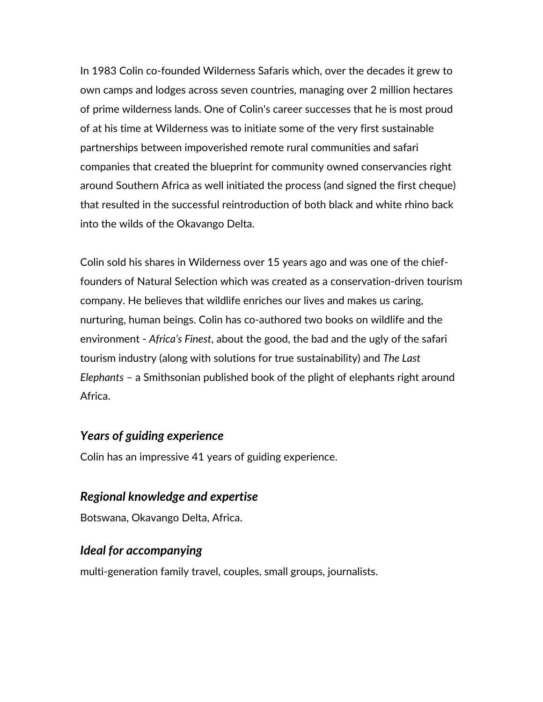In 1983 Colin co-founded Wilderness Safaris which, over the decades it grew to own camps and lodges across seven countries, managing over 2 million hectares of prime wilderness lands. One of Colin's career successes that he is most proud of at his time at Wilderness was to initiate some of the very first sustainable partnerships between impoverished remote rural communities and safari companies that created the blueprint for community owned conservancies right around Southern Africa as well initiated the process (and signed the first cheque) that resulted in the successful reintroduction of both black and white rhino back into the wilds of the Okavango Delta.

Colin sold his shares in Wilderness over 15 years ago and was one of the chieffounders of Natural Selection which was created as a conservation-driven tourism company. He believes that wildlife enriches our lives and makes us caring, nurturing, human beings. Colin has co-authored two books on wildlife and the environment - *Africa's Finest*, about the good, the bad and the ugly of the safari tourism industry (along with solutions for true sustainability) and *The Last Elephants* – a Smithsonian published book of the plight of elephants right around Africa.

## *Years of guiding experience*

Colin has an impressive 41 years of guiding experience.

## *Regional knowledge and expertise*

Botswana, Okavango Delta, Africa.

## *Ideal for accompanying*

multi-generation family travel, couples, small groups, journalists.